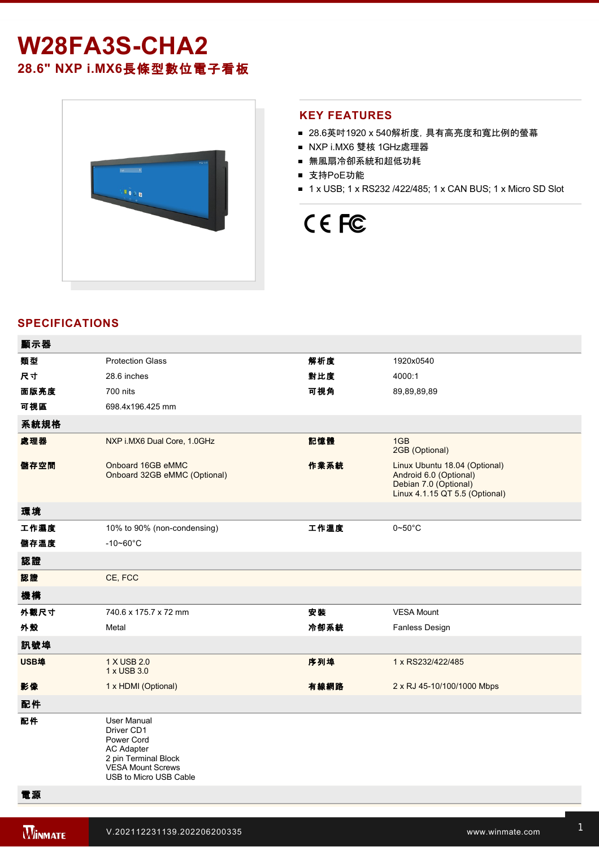# **W28FA3S-CHA2 28.6" NXP i.MX6**長條型數位電子看板



### **KEY FEATURES**

- 28.6英吋1920 x 540解析度, 具有高亮度和寬比例的螢幕
- NXP i.MX6 雙核 1GHz處理器
- 無風扇冷卻系統和超低功耗
- 支持PoE功能
- 1 x USB; 1 x RS232 /422/485; 1 x CAN BUS; 1 x Micro SD Slot

# CE FC

## **SPECIFICATIONS**

| 類型<br>解析度<br><b>Protection Glass</b><br>1920x0540<br>對比度<br>尺寸<br>28.6 inches<br>4000:1<br>面版亮度<br>可視角<br>700 nits<br>89,89,89,89<br>可視區<br>698.4x196.425 mm<br>系統規格<br>處理器<br>NXP i.MX6 Dual Core, 1.0GHz<br>記憶體<br>1GB<br>2GB (Optional)<br>儲存空間<br>Onboard 16GB eMMC<br>作業系統<br>Linux Ubuntu 18.04 (Optional)<br>Onboard 32GB eMMC (Optional)<br>Android 6.0 (Optional)<br>Debian 7.0 (Optional)<br>Linux 4.1.15 QT 5.5 (Optional)<br>環境<br>工作濕度<br>工作溫度<br>10% to 90% (non-condensing)<br>$0\negthinspace\negthinspace\negthinspace 50^{\circ}\mathrm{C}$<br>儲存溫度<br>$-10 - 60^{\circ}C$<br>認證<br>CE, FCC<br>認證<br>機構<br>安裝<br>外觀尺寸<br>740.6 x 175.7 x 72 mm<br><b>VESA Mount</b><br>外殼<br>冷卻系統<br>Fanless Design<br>Metal<br>訊號埠<br>USB埠<br>序列埠<br>1 X USB 2.0<br>1 x RS232/422/485<br>1 x USB 3.0<br>影像<br>1 x HDMI (Optional)<br>有線網路<br>2 x RJ 45-10/100/1000 Mbps<br>配件<br>配件<br><b>User Manual</b><br>Driver CD1<br>Power Cord<br><b>AC Adapter</b><br>2 pin Terminal Block<br><b>VESA Mount Screws</b><br>USB to Micro USB Cable | 顯示器 |  |  |
|---------------------------------------------------------------------------------------------------------------------------------------------------------------------------------------------------------------------------------------------------------------------------------------------------------------------------------------------------------------------------------------------------------------------------------------------------------------------------------------------------------------------------------------------------------------------------------------------------------------------------------------------------------------------------------------------------------------------------------------------------------------------------------------------------------------------------------------------------------------------------------------------------------------------------------------------------------------------------------------------------------------------------------------------|-----|--|--|
|                                                                                                                                                                                                                                                                                                                                                                                                                                                                                                                                                                                                                                                                                                                                                                                                                                                                                                                                                                                                                                             |     |  |  |
|                                                                                                                                                                                                                                                                                                                                                                                                                                                                                                                                                                                                                                                                                                                                                                                                                                                                                                                                                                                                                                             |     |  |  |
|                                                                                                                                                                                                                                                                                                                                                                                                                                                                                                                                                                                                                                                                                                                                                                                                                                                                                                                                                                                                                                             |     |  |  |
|                                                                                                                                                                                                                                                                                                                                                                                                                                                                                                                                                                                                                                                                                                                                                                                                                                                                                                                                                                                                                                             |     |  |  |
|                                                                                                                                                                                                                                                                                                                                                                                                                                                                                                                                                                                                                                                                                                                                                                                                                                                                                                                                                                                                                                             |     |  |  |
|                                                                                                                                                                                                                                                                                                                                                                                                                                                                                                                                                                                                                                                                                                                                                                                                                                                                                                                                                                                                                                             |     |  |  |
|                                                                                                                                                                                                                                                                                                                                                                                                                                                                                                                                                                                                                                                                                                                                                                                                                                                                                                                                                                                                                                             |     |  |  |
|                                                                                                                                                                                                                                                                                                                                                                                                                                                                                                                                                                                                                                                                                                                                                                                                                                                                                                                                                                                                                                             |     |  |  |
|                                                                                                                                                                                                                                                                                                                                                                                                                                                                                                                                                                                                                                                                                                                                                                                                                                                                                                                                                                                                                                             |     |  |  |
|                                                                                                                                                                                                                                                                                                                                                                                                                                                                                                                                                                                                                                                                                                                                                                                                                                                                                                                                                                                                                                             |     |  |  |
|                                                                                                                                                                                                                                                                                                                                                                                                                                                                                                                                                                                                                                                                                                                                                                                                                                                                                                                                                                                                                                             |     |  |  |
|                                                                                                                                                                                                                                                                                                                                                                                                                                                                                                                                                                                                                                                                                                                                                                                                                                                                                                                                                                                                                                             |     |  |  |
|                                                                                                                                                                                                                                                                                                                                                                                                                                                                                                                                                                                                                                                                                                                                                                                                                                                                                                                                                                                                                                             |     |  |  |
|                                                                                                                                                                                                                                                                                                                                                                                                                                                                                                                                                                                                                                                                                                                                                                                                                                                                                                                                                                                                                                             |     |  |  |
|                                                                                                                                                                                                                                                                                                                                                                                                                                                                                                                                                                                                                                                                                                                                                                                                                                                                                                                                                                                                                                             |     |  |  |
|                                                                                                                                                                                                                                                                                                                                                                                                                                                                                                                                                                                                                                                                                                                                                                                                                                                                                                                                                                                                                                             |     |  |  |
|                                                                                                                                                                                                                                                                                                                                                                                                                                                                                                                                                                                                                                                                                                                                                                                                                                                                                                                                                                                                                                             |     |  |  |
|                                                                                                                                                                                                                                                                                                                                                                                                                                                                                                                                                                                                                                                                                                                                                                                                                                                                                                                                                                                                                                             |     |  |  |
|                                                                                                                                                                                                                                                                                                                                                                                                                                                                                                                                                                                                                                                                                                                                                                                                                                                                                                                                                                                                                                             |     |  |  |
|                                                                                                                                                                                                                                                                                                                                                                                                                                                                                                                                                                                                                                                                                                                                                                                                                                                                                                                                                                                                                                             |     |  |  |

電源

**DIMENSIONS**  UNIT:MM